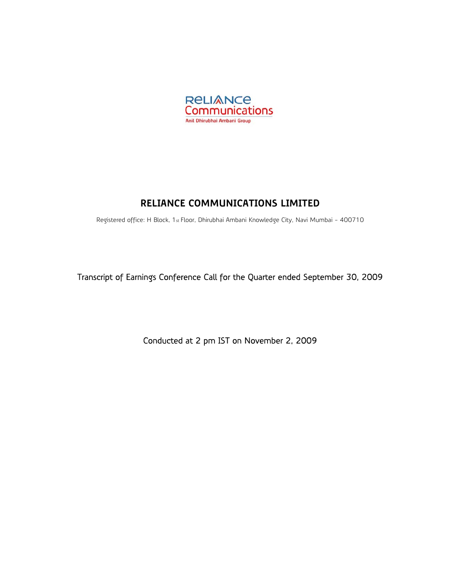

# **RELIANCE COMMUNICATIONS LIMITED**

Registered office: H Block, 1st Floor, Dhirubhai Ambani Knowledge City, Navi Mumbai - 400710

Transcript of Earnings Conference Call for the Quarter ended September 30, 2009

Conducted at 2 pm IST on November 2, 2009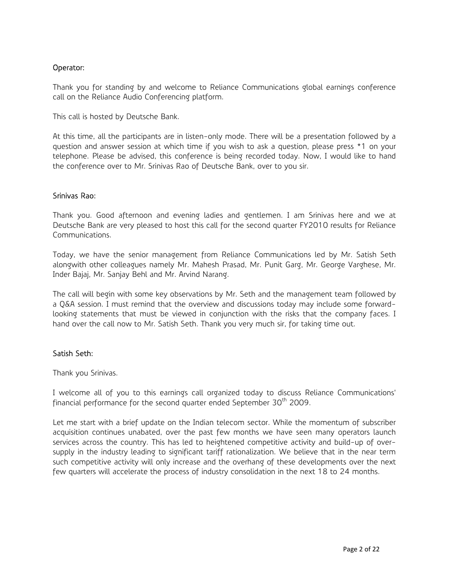# Operator:

Thank you for standing by and welcome to Reliance Communications global earnings conference call on the Reliance Audio Conferencing platform.

This call is hosted by Deutsche Bank.

At this time, all the participants are in listen-only mode. There will be a presentation followed by a question and answer session at which time if you wish to ask a question, please press \*1 on your telephone. Please be advised, this conference is being recorded today. Now, I would like to hand the conference over to Mr. Srinivas Rao of Deutsche Bank, over to you sir.

# Srinivas Rao:

Thank you. Good afternoon and evening ladies and gentlemen. I am Srinivas here and we at Deutsche Bank are very pleased to host this call for the second quarter FY2010 results for Reliance Communications.

Today, we have the senior management from Reliance Communications led by Mr. Satish Seth alongwith other colleagues namely Mr. Mahesh Prasad, Mr. Punit Garg, Mr. George Varghese, Mr. Inder Bajaj, Mr. Sanjay Behl and Mr. Arvind Narang.

The call will begin with some key observations by Mr. Seth and the management team followed by a Q&A session. I must remind that the overview and discussions today may include some forwardlooking statements that must be viewed in conjunction with the risks that the company faces. I hand over the call now to Mr. Satish Seth. Thank you very much sir, for taking time out.

# Satish Seth:

Thank you Srinivas.

I welcome all of you to this earnings call organized today to discuss Reliance Communications' financial performance for the second quarter ended September 30<sup>th</sup> 2009.

Let me start with a brief update on the Indian telecom sector. While the momentum of subscriber acquisition continues unabated, over the past few months we have seen many operators launch services across the country. This has led to heightened competitive activity and build-up of oversupply in the industry leading to significant tariff rationalization. We believe that in the near term such competitive activity will only increase and the overhang of these developments over the next few quarters will accelerate the process of industry consolidation in the next 18 to 24 months.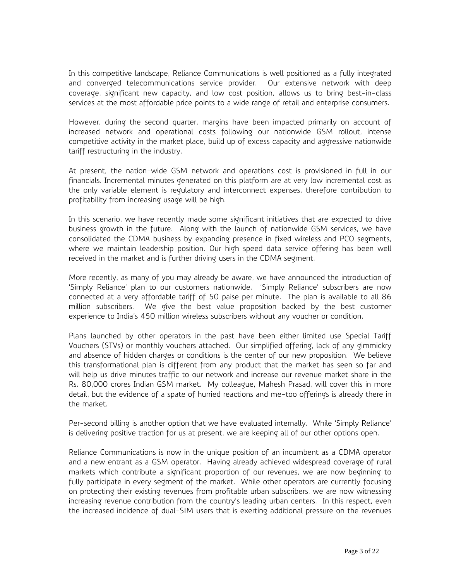In this competitive landscape, Reliance Communications is well positioned as a fully integrated and converged telecommunications service provider. Our extensive network with deep coverage, significant new capacity, and low cost position, allows us to bring best-in-class services at the most affordable price points to a wide range of retail and enterprise consumers.

However, during the second quarter, margins have been impacted primarily on account of increased network and operational costs following our nationwide GSM rollout, intense competitive activity in the market place, build up of excess capacity and aggressive nationwide tariff restructuring in the industry.

At present, the nation-wide GSM network and operations cost is provisioned in full in our financials. Incremental minutes generated on this platform are at very low incremental cost as the only variable element is regulatory and interconnect expenses, therefore contribution to profitability from increasing usage will be high.

In this scenario, we have recently made some significant initiatives that are expected to drive business growth in the future. Along with the launch of nationwide GSM services, we have consolidated the CDMA business by expanding presence in fixed wireless and PCO segments, where we maintain leadership position. Our high speed data service offering has been well received in the market and is further driving users in the CDMA segment.

More recently, as many of you may already be aware, we have announced the introduction of 'Simply Reliance' plan to our customers nationwide. 'Simply Reliance' subscribers are now connected at a very affordable tariff of 50 paise per minute. The plan is available to all 86 million subscribers. We give the best value proposition backed by the best customer experience to India's 450 million wireless subscribers without any voucher or condition.

Plans launched by other operators in the past have been either limited use Special Tariff Vouchers (STVs) or monthly vouchers attached. Our simplified offering, lack of any gimmickry and absence of hidden charges or conditions is the center of our new proposition. We believe this transformational plan is different from any product that the market has seen so far and will help us drive minutes traffic to our network and increase our revenue market share in the Rs. 80,000 crores Indian GSM market. My colleague, Mahesh Prasad, will cover this in more detail, but the evidence of a spate of hurried reactions and me-too offerings is already there in the market.

Per-second billing is another option that we have evaluated internally. While 'Simply Reliance' is delivering positive traction for us at present, we are keeping all of our other options open.

Reliance Communications is now in the unique position of an incumbent as a CDMA operator and a new entrant as a GSM operator. Having already achieved widespread coverage of rural markets which contribute a significant proportion of our revenues, we are now beginning to fully participate in every segment of the market. While other operators are currently focusing on protecting their existing revenues from profitable urban subscribers, we are now witnessing increasing revenue contribution from the country's leading urban centers. In this respect, even the increased incidence of dual-SIM users that is exerting additional pressure on the revenues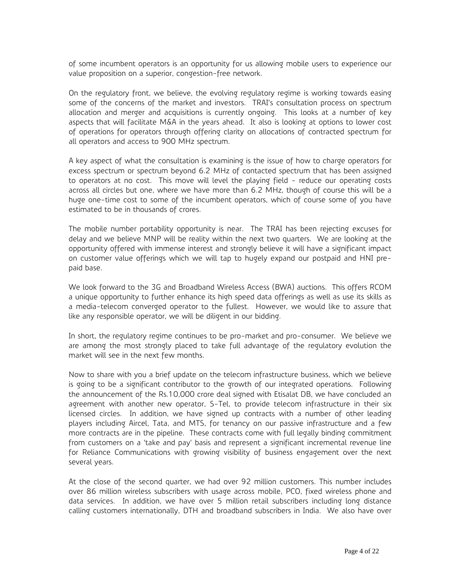of some incumbent operators is an opportunity for us allowing mobile users to experience our value proposition on a superior, congestion-free network.

On the regulatory front, we believe, the evolving regulatory regime is working towards easing some of the concerns of the market and investors. TRAI's consultation process on spectrum allocation and merger and acquisitions is currently ongoing. This looks at a number of key aspects that will facilitate M&A in the years ahead. It also is looking at options to lower cost of operations for operators through offering clarity on allocations of contracted spectrum for all operators and access to 900 MHz spectrum.

A key aspect of what the consultation is examining is the issue of how to charge operators for excess spectrum or spectrum beyond 6.2 MHz of contacted spectrum that has been assigned to operators at no cost. This move will level the playing field - reduce our operating costs across all circles but one, where we have more than 6.2 MHz, though of course this will be a huge one-time cost to some of the incumbent operators, which of course some of you have estimated to be in thousands of crores.

The mobile number portability opportunity is near. The TRAI has been rejecting excuses for delay and we believe MNP will be reality within the next two quarters. We are looking at the opportunity offered with immense interest and strongly believe it will have a significant impact on customer value offerings which we will tap to hugely expand our postpaid and HNI prepaid base.

We look forward to the 3G and Broadband Wireless Access (BWA) auctions. This offers RCOM a unique opportunity to further enhance its high speed data offerings as well as use its skills as a media-telecom converged operator to the fullest. However, we would like to assure that like any responsible operator, we will be diligent in our bidding.

In short, the regulatory regime continues to be pro-market and pro-consumer. We believe we are among the most strongly placed to take full advantage of the regulatory evolution the market will see in the next few months.

Now to share with you a brief update on the telecom infrastructure business, which we believe is going to be a significant contributor to the growth of our integrated operations. Following the announcement of the Rs.10,000 crore deal signed with Etisalat DB, we have concluded an agreement with another new operator, S-Tel, to provide telecom infrastructure in their six licensed circles. In addition, we have signed up contracts with a number of other leading players including Aircel, Tata, and MTS, for tenancy on our passive infrastructure and a few more contracts are in the pipeline. These contracts come with full legally binding commitment from customers on a 'take and pay' basis and represent a significant incremental revenue line for Reliance Communications with growing visibility of business engagement over the next several years.

At the close of the second quarter, we had over 92 million customers. This number includes over 86 million wireless subscribers with usage across mobile, PCO, fixed wireless phone and data services. In addition, we have over 5 million retail subscribers including long distance calling customers internationally, DTH and broadband subscribers in India. We also have over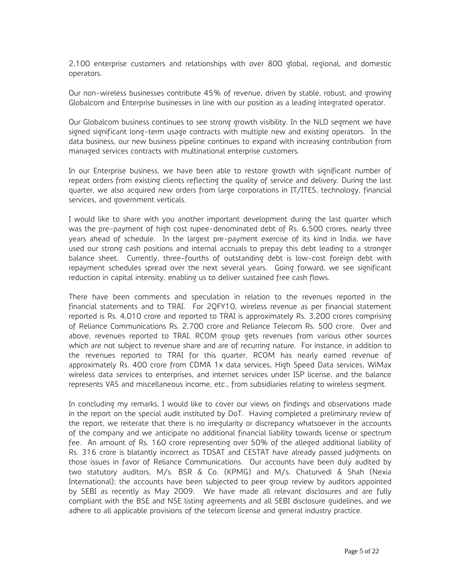2,100 enterprise customers and relationships with over 800 global, regional, and domestic operators.

Our non-wireless businesses contribute 45% of revenue, driven by stable, robust, and growing Globalcom and Enterprise businesses in line with our position as a leading integrated operator.

Our Globalcom business continues to see strong growth visibility. In the NLD segment we have signed significant long-term usage contracts with multiple new and existing operators. In the data business, our new business pipeline continues to expand with increasing contribution from managed services contracts with multinational enterprise customers.

In our Enterprise business, we have been able to restore growth with significant number of repeat orders from existing clients reflecting the quality of service and delivery. During the last quarter, we also acquired new orders from large corporations in IT/ITES, technology, financial services, and government verticals.

I would like to share with you another important development during the last quarter which was the pre-payment of high cost rupee-denominated debt of Rs. 6,500 crores, nearly three years ahead of schedule. In the largest pre-payment exercise of its kind in India, we have used our strong cash positions and internal accruals to prepay this debt leading to a stronger balance sheet. Currently, three-fourths of outstanding debt is low-cost foreign debt with repayment schedules spread over the next several years. Going forward, we see significant reduction in capital intensity, enabling us to deliver sustained free cash flows.

There have been comments and speculation in relation to the revenues reported in the financial statements and to TRAI. For 2QFY10, wireless revenue as per financial statement reported is Rs. 4,010 crore and reported to TRAI is approximately Rs. 3,200 crores comprising of Reliance Communications Rs. 2,700 crore and Reliance Telecom Rs. 500 crore. Over and above, revenues reported to TRAI, RCOM group gets revenues from various other sources which are not subject to revenue share and are of recurring nature. For instance, in addition to the revenues reported to TRAI for this quarter, RCOM has nearly earned revenue of approximately Rs. 400 crore from CDMA 1x data services, High Speed Data services, WiMax wireless data services to enterprises, and internet services under ISP license, and the balance represents VAS and miscellaneous income, etc., from subsidiaries relating to wireless segment.

In concluding my remarks, I would like to cover our views on findings and observations made in the report on the special audit instituted by DoT. Having completed a preliminary review of the report, we reiterate that there is no irregularity or discrepancy whatsoever in the accounts of the company and we anticipate no additional financial liability towards license or spectrum fee. An amount of Rs. 160 crore representing over 50% of the alleged additional liability of Rs. 316 crore is blatantly incorrect as TDSAT and CESTAT have already passed judgments on those issues in favor of Reliance Communications. Our accounts have been duly audited by two statutory auditors, M/s. BSR & Co. (KPMG) and M/s. Chaturvedi & Shah (Nexia International); the accounts have been subjected to peer group review by auditors appointed by SEBI as recently as May 2009. We have made all relevant disclosures and are fully compliant with the BSE and NSE listing agreements and all SEBI disclosure guidelines, and we adhere to all applicable provisions of the telecom license and general industry practice.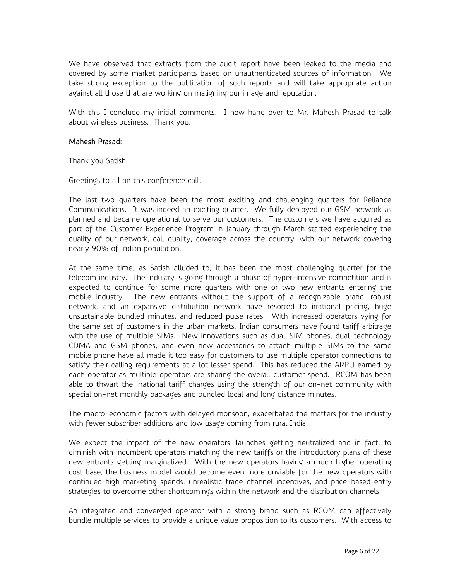We have observed that extracts from the audit report have been leaked to the media and covered by some market participants based on unauthenticated sources of information. We take strong exception to the publication of such reports and will take appropriate action against all those that are working on maligning our image and reputation.

With this I conclude my initial comments. I now hand over to Mr. Mahesh Prasad to talk about wireless business. Thank you.

#### Mahesh Prasad:

Thank you Satish.

Greetings to all on this conference call.

The last two quarters have been the most exciting and challenging quarters for Reliance Communications. It was indeed an exciting quarter. We fully deployed our GSM network as planned and became operational to serve our customers. The customers we have acquired as part of the Customer Experience Program in January through March started experiencing the quality of our network, call quality, coverage across the country, with our network covering nearly 90% of Indian population.

At the same time, as Satish alluded to, it has been the most challenging quarter for the telecom industry. The industry is going through a phase of hyper-intensive competition and is expected to continue for some more quarters with one or two new entrants entering the mobile industry. The new entrants without the support of a recognizable brand, robust network, and an expansive distribution network have resorted to irrational pricing, huge unsustainable bundled minutes, and reduced pulse rates. With increased operators vying for the same set of customers in the urban markets, Indian consumers have found tariff arbitrage with the use of multiple SIMs. New innovations such as dual-SIM phones, dual-technology CDMA and GSM phones, and even new accessories to attach multiple SIMs to the same mobile phone have all made it too easy for customers to use multiple operator connections to satisfy their calling requirements at a lot lesser spend. This has reduced the ARPU earned by each operator as multiple operators are sharing the overall customer spend. RCOM has been able to thwart the irrational tariff charges using the strength of our on-net community with special on-net monthly packages and bundled local and long distance minutes.

The macro-economic factors with delayed monsoon, exacerbated the matters for the industry with fewer subscriber additions and low usage coming from rural India.

We expect the impact of the new operators' launches getting neutralized and in fact, to diminish with incumbent operators matching the new tariffs or the introductory plans of these new entrants getting marginalized. With the new operators having a much higher operating cost base, the business model would become even more unviable for the new operators with continued high marketing spends, unrealistic trade channel incentives, and price-based entry strategies to overcome other shortcomings within the network and the distribution channels.

An integrated and converged operator with a strong brand such as RCOM can effectively bundle multiple services to provide a unique value proposition to its customers. With access to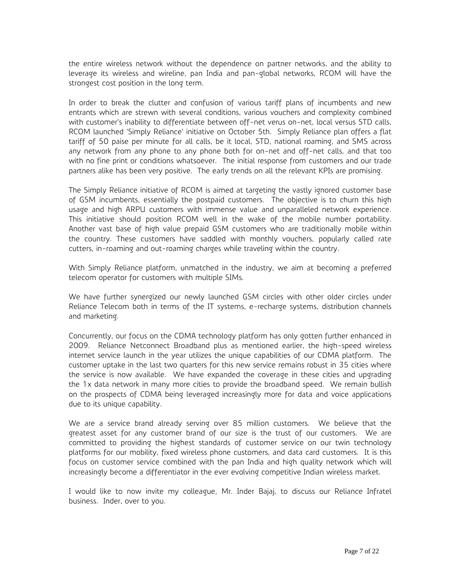the entire wireless network without the dependence on partner networks, and the ability to leverage its wireless and wireline, pan India and pan-global networks, RCOM will have the strongest cost position in the long term.

In order to break the clutter and confusion of various tariff plans of incumbents and new entrants which are strewn with several conditions, various vouchers and complexity combined with customer's inability to differentiate between off-net verus on-net, local versus STD calls, RCOM launched 'Simply Reliance' initiative on October 5th. Simply Reliance plan offers a flat tariff of 50 paise per minute for all calls, be it local, STD, national roaming, and SMS across any network from any phone to any phone both for on-net and off-net calls, and that too with no fine print or conditions whatsoever. The initial response from customers and our trade partners alike has been very positive. The early trends on all the relevant KPIs are promising.

The Simply Reliance initiative of RCOM is aimed at targeting the vastly ignored customer base of GSM incumbents, essentially the postpaid customers. The objective is to churn this high usage and high ARPU customers with immense value and unparalleled network experience. This initiative should position RCOM well in the wake of the mobile number portability. Another vast base of high value prepaid GSM customers who are traditionally mobile within the country. These customers have saddled with monthly vouchers, popularly called rate cutters, in-roaming and out-roaming charges while traveling within the country.

With Simply Reliance platform, unmatched in the industry, we aim at becoming a preferred telecom operator for customers with multiple SIMs.

We have further synergized our newly launched GSM circles with other older circles under Reliance Telecom both in terms of the IT systems, e-recharge systems, distribution channels and marketing.

Concurrently, our focus on the CDMA technology platform has only gotten further enhanced in 2009. Reliance Netconnect Broadband plus as mentioned earlier, the high-speed wireless internet service launch in the year utilizes the unique capabilities of our CDMA platform. The customer uptake in the last two quarters for this new service remains robust in 35 cities where the service is now available. We have expanded the coverage in these cities and upgrading the 1x data network in many more cities to provide the broadband speed. We remain bullish on the prospects of CDMA being leveraged increasingly more for data and voice applications due to its unique capability.

We are a service brand already serving over 85 million customers. We believe that the greatest asset for any customer brand of our size is the trust of our customers. We are committed to providing the highest standards of customer service on our twin technology platforms for our mobility, fixed wireless phone customers, and data card customers. It is this focus on customer service combined with the pan India and high quality network which will increasingly become a differentiator in the ever evolving competitive Indian wireless market.

I would like to now invite my colleague, Mr. Inder Bajaj, to discuss our Reliance Infratel business. Inder, over to you.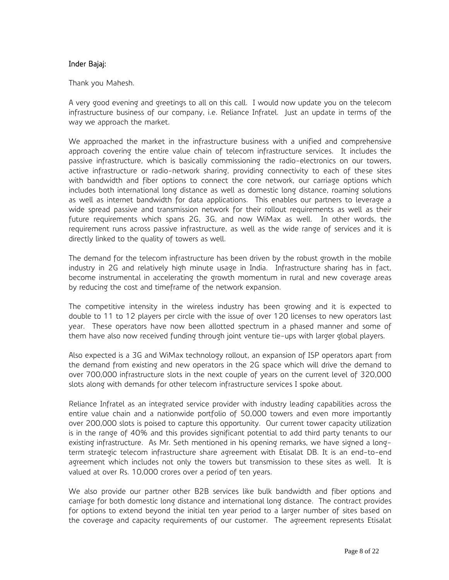# Inder Bajaj:

Thank you Mahesh.

A very good evening and greetings to all on this call. I would now update you on the telecom infrastructure business of our company, i.e. Reliance Infratel. Just an update in terms of the way we approach the market.

We approached the market in the infrastructure business with a unified and comprehensive approach covering the entire value chain of telecom infrastructure services. It includes the passive infrastructure, which is basically commissioning the radio-electronics on our towers, active infrastructure or radio-network sharing, providing connectivity to each of these sites with bandwidth and fiber options to connect the core network, our carriage options which includes both international long distance as well as domestic long distance, roaming solutions as well as internet bandwidth for data applications. This enables our partners to leverage a wide spread passive and transmission network for their rollout requirements as well as their future requirements which spans 2G, 3G, and now WiMax as well. In other words, the requirement runs across passive infrastructure, as well as the wide range of services and it is directly linked to the quality of towers as well.

The demand for the telecom infrastructure has been driven by the robust growth in the mobile industry in 2G and relatively high minute usage in India. Infrastructure sharing has in fact, become instrumental in accelerating the growth momentum in rural and new coverage areas by reducing the cost and timeframe of the network expansion.

The competitive intensity in the wireless industry has been growing and it is expected to double to 11 to 12 players per circle with the issue of over 120 licenses to new operators last year. These operators have now been allotted spectrum in a phased manner and some of them have also now received funding through joint venture tie-ups with larger global players.

Also expected is a 3G and WiMax technology rollout, an expansion of ISP operators apart from the demand from existing and new operators in the 2G space which will drive the demand to over 700,000 infrastructure slots in the next couple of years on the current level of 320,000 slots along with demands for other telecom infrastructure services I spoke about.

Reliance Infratel as an integrated service provider with industry leading capabilities across the entire value chain and a nationwide portfolio of 50,000 towers and even more importantly over 200,000 slots is poised to capture this opportunity. Our current tower capacity utilization is in the range of 40% and this provides significant potential to add third party tenants to our existing infrastructure. As Mr. Seth mentioned in his opening remarks, we have signed a longterm strategic telecom infrastructure share agreement with Etisalat DB. It is an end-to-end agreement which includes not only the towers but transmission to these sites as well. It is valued at over Rs. 10,000 crores over a period of ten years.

We also provide our partner other B2B services like bulk bandwidth and fiber options and carriage for both domestic long distance and international long distance. The contract provides for options to extend beyond the initial ten year period to a larger number of sites based on the coverage and capacity requirements of our customer. The agreement represents Etisalat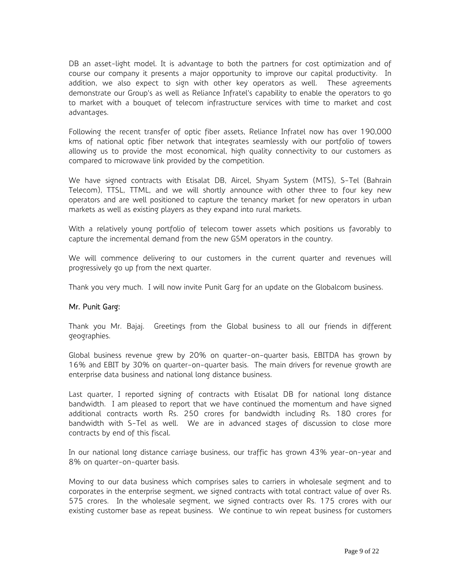DB an asset-light model. It is advantage to both the partners for cost optimization and of course our company it presents a major opportunity to improve our capital productivity. In addition, we also expect to sign with other key operators as well. These agreements demonstrate our Group's as well as Reliance Infratel's capability to enable the operators to go to market with a bouquet of telecom infrastructure services with time to market and cost advantages.

Following the recent transfer of optic fiber assets, Reliance Infratel now has over 190,000 kms of national optic fiber network that integrates seamlessly with our portfolio of towers allowing us to provide the most economical, high quality connectivity to our customers as compared to microwave link provided by the competition.

We have signed contracts with Etisalat DB, Aircel, Shyam System (MTS), S-Tel (Bahrain Telecom), TTSL, TTML, and we will shortly announce with other three to four key new operators and are well positioned to capture the tenancy market for new operators in urban markets as well as existing players as they expand into rural markets.

With a relatively young portfolio of telecom tower assets which positions us favorably to capture the incremental demand from the new GSM operators in the country.

We will commence delivering to our customers in the current quarter and revenues will progressively go up from the next quarter.

Thank you very much. I will now invite Punit Garg for an update on the Globalcom business.

#### Mr. Punit Garg:

Thank you Mr. Bajaj. Greetings from the Global business to all our friends in different geographies.

Global business revenue grew by 20% on quarter-on-quarter basis, EBITDA has grown by 16% and EBIT by 30% on quarter-on-quarter basis. The main drivers for revenue growth are enterprise data business and national long distance business.

Last quarter, I reported signing of contracts with Etisalat DB for national long distance bandwidth. I am pleased to report that we have continued the momentum and have signed additional contracts worth Rs. 250 crores for bandwidth including Rs. 180 crores for bandwidth with S-Tel as well. We are in advanced stages of discussion to close more contracts by end of this fiscal.

In our national long distance carriage business, our traffic has grown 43% year-on-year and 8% on quarter-on-quarter basis.

Moving to our data business which comprises sales to carriers in wholesale segment and to corporates in the enterprise segment, we signed contracts with total contract value of over Rs. 575 crores. In the wholesale segment, we signed contracts over Rs. 175 crores with our existing customer base as repeat business. We continue to win repeat business for customers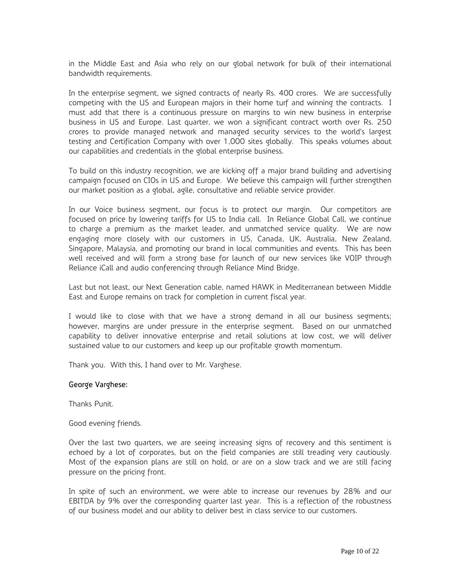in the Middle East and Asia who rely on our global network for bulk of their international bandwidth requirements.

In the enterprise segment, we signed contracts of nearly Rs. 400 crores. We are successfully competing with the US and European majors in their home turf and winning the contracts. I must add that there is a continuous pressure on margins to win new business in enterprise business in US and Europe. Last quarter, we won a significant contract worth over Rs. 250 crores to provide managed network and managed security services to the world's largest testing and Certification Company with over 1,000 sites globally. This speaks volumes about our capabilities and credentials in the global enterprise business.

To build on this industry recognition, we are kicking off a major brand building and advertising campaign focused on CIOs in US and Europe. We believe this campaign will further strengthen our market position as a global, agile, consultative and reliable service provider.

In our Voice business segment, our focus is to protect our margin. Our competitors are focused on price by lowering tariffs for US to India call. In Reliance Global Call, we continue to charge a premium as the market leader, and unmatched service quality. We are now engaging more closely with our customers in US, Canada, UK, Australia, New Zealand, Singapore, Malaysia, and promoting our brand in local communities and events. This has been well received and will form a strong base for launch of our new services like VOIP through Reliance iCall and audio conferencing through Reliance Mind Bridge.

Last but not least, our Next Generation cable, named HAWK in Mediterranean between Middle East and Europe remains on track for completion in current fiscal year.

I would like to close with that we have a strong demand in all our business segments; however, margins are under pressure in the enterprise segment. Based on our unmatched capability to deliver innovative enterprise and retail solutions at low cost, we will deliver sustained value to our customers and keep up our profitable growth momentum.

Thank you. With this, I hand over to Mr. Varghese.

#### George Varghese:

Thanks Punit.

Good evening friends.

Over the last two quarters, we are seeing increasing signs of recovery and this sentiment is echoed by a lot of corporates, but on the field companies are still treading very cautiously. Most of the expansion plans are still on hold, or are on a slow track and we are still facing pressure on the pricing front.

In spite of such an environment, we were able to increase our revenues by 28% and our EBITDA by 9% over the corresponding quarter last year. This is a reflection of the robustness of our business model and our ability to deliver best in class service to our customers.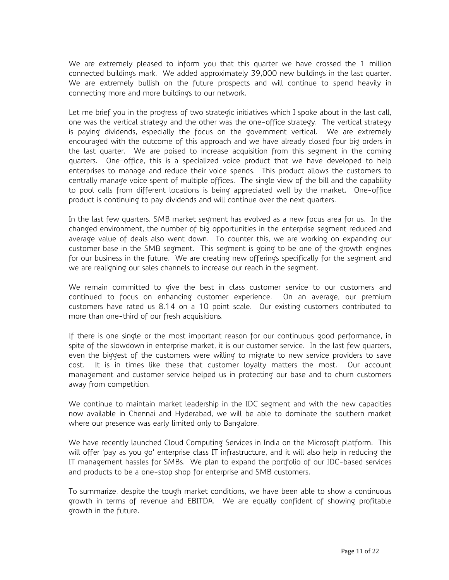We are extremely pleased to inform you that this quarter we have crossed the 1 million connected buildings mark. We added approximately 39,000 new buildings in the last quarter. We are extremely bullish on the future prospects and will continue to spend heavily in connecting more and more buildings to our network.

Let me brief you in the progress of two strategic initiatives which I spoke about in the last call, one was the vertical strategy and the other was the one-office strategy. The vertical strategy is paying dividends, especially the focus on the government vertical. We are extremely encouraged with the outcome of this approach and we have already closed four big orders in the last quarter. We are poised to increase acquisition from this segment in the coming quarters. One-office, this is a specialized voice product that we have developed to help enterprises to manage and reduce their voice spends. This product allows the customers to centrally manage voice spent of multiple offices. The single view of the bill and the capability to pool calls from different locations is being appreciated well by the market. One-office product is continuing to pay dividends and will continue over the next quarters.

In the last few quarters, SMB market segment has evolved as a new focus area for us. In the changed environment, the number of big opportunities in the enterprise segment reduced and average value of deals also went down. To counter this, we are working on expanding our customer base in the SMB segment. This segment is going to be one of the growth engines for our business in the future. We are creating new offerings specifically for the segment and we are realigning our sales channels to increase our reach in the segment.

We remain committed to give the best in class customer service to our customers and continued to focus on enhancing customer experience. On an average, our premium customers have rated us 8.14 on a 10 point scale. Our existing customers contributed to more than one-third of our fresh acquisitions.

If there is one single or the most important reason for our continuous good performance, in spite of the slowdown in enterprise market, it is our customer service. In the last few quarters, even the biggest of the customers were willing to migrate to new service providers to save cost. It is in times like these that customer loyalty matters the most. Our account management and customer service helped us in protecting our base and to churn customers away from competition.

We continue to maintain market leadership in the IDC segment and with the new capacities now available in Chennai and Hyderabad, we will be able to dominate the southern market where our presence was early limited only to Bangalore.

We have recently launched Cloud Computing Services in India on the Microsoft platform. This will offer 'pay as you go' enterprise class IT infrastructure, and it will also help in reducing the IT management hassles for SMBs. We plan to expand the portfolio of our IDC-based services and products to be a one-stop shop for enterprise and SMB customers.

To summarize, despite the tough market conditions, we have been able to show a continuous growth in terms of revenue and EBITDA. We are equally confident of showing profitable growth in the future.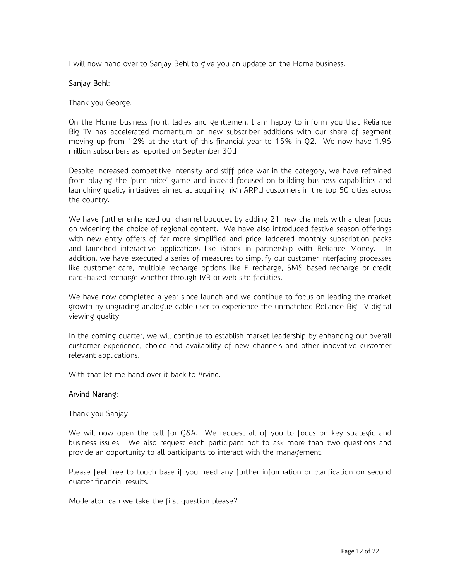I will now hand over to Sanjay Behl to give you an update on the Home business.

# Sanjay Behl:

Thank you George.

On the Home business front, ladies and gentlemen, I am happy to inform you that Reliance Big TV has accelerated momentum on new subscriber additions with our share of segment moving up from 12% at the start of this financial year to 15% in Q2. We now have 1.95 million subscribers as reported on September 30th.

Despite increased competitive intensity and stiff price war in the category, we have refrained from playing the 'pure price' game and instead focused on building business capabilities and launching quality initiatives aimed at acquiring high ARPU customers in the top 50 cities across the country.

We have further enhanced our channel bouquet by adding 21 new channels with a clear focus on widening the choice of regional content. We have also introduced festive season offerings with new entry offers of far more simplified and price-laddered monthly subscription packs and launched interactive applications like iStock in partnership with Reliance Money. In addition, we have executed a series of measures to simplify our customer interfacing processes like customer care, multiple recharge options like E-recharge, SMS-based recharge or credit card-based recharge whether through IVR or web site facilities.

We have now completed a year since launch and we continue to focus on leading the market growth by upgrading analogue cable user to experience the unmatched Reliance Big TV digital viewing quality.

In the coming quarter, we will continue to establish market leadership by enhancing our overall customer experience, choice and availability of new channels and other innovative customer relevant applications.

With that let me hand over it back to Arvind.

# Arvind Narang:

Thank you Sanjay.

We will now open the call for Q&A. We request all of you to focus on key strategic and business issues. We also request each participant not to ask more than two questions and provide an opportunity to all participants to interact with the management.

Please feel free to touch base if you need any further information or clarification on second quarter financial results.

Moderator, can we take the first question please?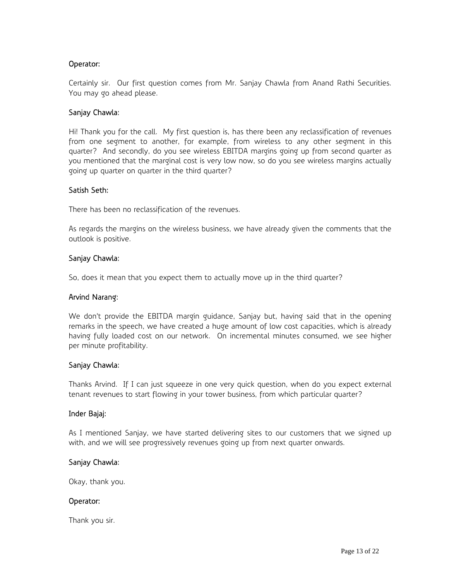# Operator:

Certainly sir. Our first question comes from Mr. Sanjay Chawla from Anand Rathi Securities. You may go ahead please.

# Sanjay Chawla:

Hi! Thank you for the call. My first question is, has there been any reclassification of revenues from one segment to another, for example, from wireless to any other segment in this quarter? And secondly, do you see wireless EBITDA margins going up from second quarter as you mentioned that the marginal cost is very low now, so do you see wireless margins actually going up quarter on quarter in the third quarter?

# Satish Seth:

There has been no reclassification of the revenues.

As regards the margins on the wireless business, we have already given the comments that the outlook is positive.

# Sanjay Chawla:

So, does it mean that you expect them to actually move up in the third quarter?

# Arvind Narang:

We don't provide the EBITDA margin guidance, Sanjay but, having said that in the opening remarks in the speech, we have created a huge amount of low cost capacities, which is already having fully loaded cost on our network. On incremental minutes consumed, we see higher per minute profitability.

# Sanjay Chawla:

Thanks Arvind. If I can just squeeze in one very quick question, when do you expect external tenant revenues to start flowing in your tower business, from which particular quarter?

# Inder Bajaj:

As I mentioned Sanjay, we have started delivering sites to our customers that we signed up with, and we will see progressively revenues going up from next quarter onwards.

# Sanjay Chawla:

Okay, thank you.

#### Operator:

Thank you sir.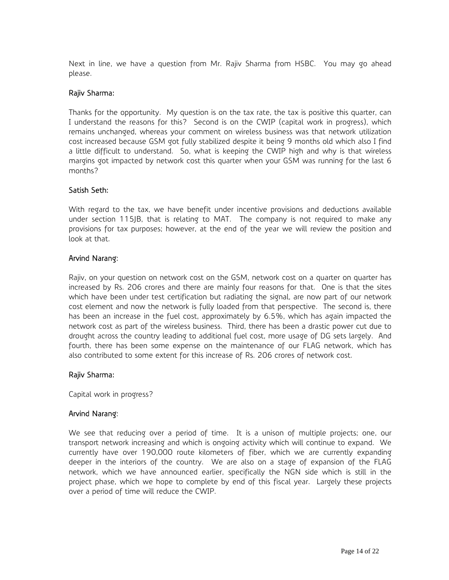Next in line, we have a question from Mr. Rajiv Sharma from HSBC. You may go ahead please.

# Rajiv Sharma:

Thanks for the opportunity. My question is on the tax rate, the tax is positive this quarter, can I understand the reasons for this? Second is on the CWIP (capital work in progress), which remains unchanged, whereas your comment on wireless business was that network utilization cost increased because GSM got fully stabilized despite it being 9 months old which also I find a little difficult to understand. So, what is keeping the CWIP high and why is that wireless margins got impacted by network cost this quarter when your GSM was running for the last 6 months?

# Satish Seth:

With regard to the tax, we have benefit under incentive provisions and deductions available under section 115JB, that is relating to MAT. The company is not required to make any provisions for tax purposes; however, at the end of the year we will review the position and look at that.

# Arvind Narang:

Rajiv, on your question on network cost on the GSM, network cost on a quarter on quarter has increased by Rs. 206 crores and there are mainly four reasons for that. One is that the sites which have been under test certification but radiating the signal, are now part of our network cost element and now the network is fully loaded from that perspective. The second is, there has been an increase in the fuel cost, approximately by 6.5%, which has again impacted the network cost as part of the wireless business. Third, there has been a drastic power cut due to drought across the country leading to additional fuel cost, more usage of DG sets largely. And fourth, there has been some expense on the maintenance of our FLAG network, which has also contributed to some extent for this increase of Rs. 206 crores of network cost.

# Rajiv Sharma:

Capital work in progress?

# Arvind Narang:

We see that reducing over a period of time. It is a unison of multiple projects; one, our transport network increasing and which is ongoing activity which will continue to expand. We currently have over 190,000 route kilometers of fiber, which we are currently expanding deeper in the interiors of the country. We are also on a stage of expansion of the FLAG network, which we have announced earlier, specifically the NGN side which is still in the project phase, which we hope to complete by end of this fiscal year. Largely these projects over a period of time will reduce the CWIP.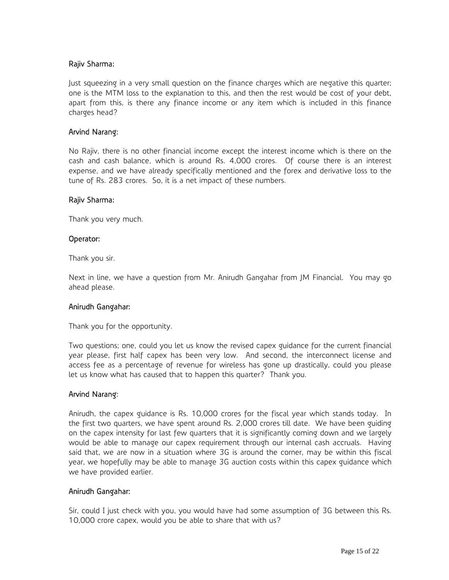# Rajiv Sharma:

Just squeezing in a very small question on the finance charges which are negative this quarter; one is the MTM loss to the explanation to this, and then the rest would be cost of your debt, apart from this, is there any finance income or any item which is included in this finance charges head?

# Arvind Narang:

No Rajiv, there is no other financial income except the interest income which is there on the cash and cash balance, which is around Rs. 4,000 crores. Of course there is an interest expense, and we have already specifically mentioned and the forex and derivative loss to the tune of Rs. 283 crores. So, it is a net impact of these numbers.

# Rajiv Sharma:

Thank you very much.

#### Operator:

Thank you sir.

Next in line, we have a question from Mr. Anirudh Gangahar from JM Financial. You may go ahead please.

# Anirudh Gangahar:

Thank you for the opportunity.

Two questions; one, could you let us know the revised capex guidance for the current financial year please, first half capex has been very low. And second, the interconnect license and access fee as a percentage of revenue for wireless has gone up drastically, could you please let us know what has caused that to happen this quarter? Thank you.

# Arvind Narang:

Anirudh, the capex guidance is Rs. 10,000 crores for the fiscal year which stands today. In the first two quarters, we have spent around Rs. 2,000 crores till date. We have been guiding on the capex intensity for last few quarters that it is significantly coming down and we largely would be able to manage our capex requirement through our internal cash accruals. Having said that, we are now in a situation where 3G is around the corner, may be within this fiscal year, we hopefully may be able to manage 3G auction costs within this capex guidance which we have provided earlier.

# Anirudh Gangahar:

Sir, could I just check with you, you would have had some assumption of 3G between this Rs. 10,000 crore capex, would you be able to share that with us?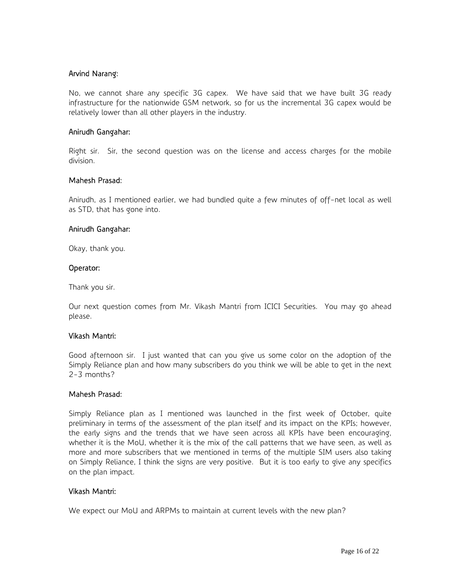# Arvind Narang:

No, we cannot share any specific 3G capex. We have said that we have built 3G ready infrastructure for the nationwide GSM network, so for us the incremental 3G capex would be relatively lower than all other players in the industry.

# Anirudh Gangahar:

Right sir. Sir, the second question was on the license and access charges for the mobile division.

# Mahesh Prasad:

Anirudh, as I mentioned earlier, we had bundled quite a few minutes of off-net local as well as STD, that has gone into.

# Anirudh Gangahar:

Okay, thank you.

# Operator:

Thank you sir.

Our next question comes from Mr. Vikash Mantri from ICICI Securities. You may go ahead please.

# Vikash Mantri:

Good afternoon sir. I just wanted that can you give us some color on the adoption of the Simply Reliance plan and how many subscribers do you think we will be able to get in the next 2-3 months?

# Mahesh Prasad:

Simply Reliance plan as I mentioned was launched in the first week of October, quite preliminary in terms of the assessment of the plan itself and its impact on the KPIs; however, the early signs and the trends that we have seen across all KPIs have been encouraging, whether it is the MoU, whether it is the mix of the call patterns that we have seen, as well as more and more subscribers that we mentioned in terms of the multiple SIM users also taking on Simply Reliance, I think the signs are very positive. But it is too early to give any specifics on the plan impact.

# Vikash Mantri:

We expect our MoU and ARPMs to maintain at current levels with the new plan?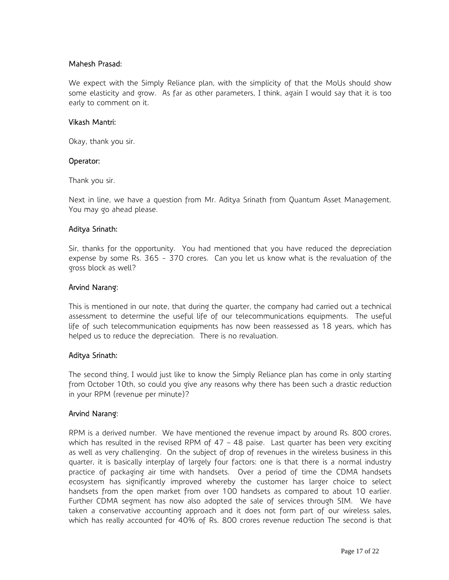# Mahesh Prasad:

We expect with the Simply Reliance plan, with the simplicity of that the MoUs should show some elasticity and grow. As far as other parameters, I think, again I would say that it is too early to comment on it.

# Vikash Mantri:

Okay, thank you sir.

# Operator:

Thank you sir.

Next in line, we have a question from Mr. Aditya Srinath from Quantum Asset Management. You may go ahead please.

# Aditya Srinath:

Sir, thanks for the opportunity. You had mentioned that you have reduced the depreciation expense by some Rs. 365 - 370 crores. Can you let us know what is the revaluation of the gross block as well?

# Arvind Narang:

This is mentioned in our note, that during the quarter, the company had carried out a technical assessment to determine the useful life of our telecommunications equipments. The useful life of such telecommunication equipments has now been reassessed as 18 years, which has helped us to reduce the depreciation. There is no revaluation.

# Aditya Srinath:

The second thing, I would just like to know the Simply Reliance plan has come in only starting from October 10th, so could you give any reasons why there has been such a drastic reduction in your RPM (revenue per minute)?

# Arvind Narang:

RPM is a derived number. We have mentioned the revenue impact by around Rs. 800 crores, which has resulted in the revised RPM of  $47 - 48$  paise. Last quarter has been very exciting as well as very challenging. On the subject of drop of revenues in the wireless business in this quarter, it is basically interplay of largely four factors: one is that there is a normal industry practice of packaging air time with handsets. Over a period of time the CDMA handsets ecosystem has significantly improved whereby the customer has larger choice to select handsets from the open market from over 100 handsets as compared to about 10 earlier. Further CDMA segment has now also adopted the sale of services through SIM. We have taken a conservative accounting approach and it does not form part of our wireless sales, which has really accounted for 40% of Rs. 800 crores revenue reduction The second is that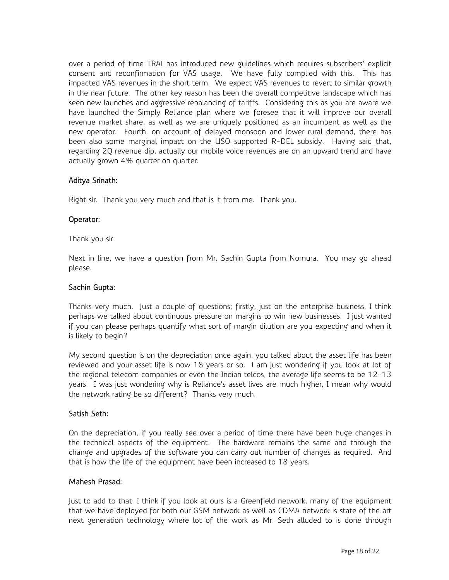over a period of time TRAI has introduced new guidelines which requires subscribers' explicit consent and reconfirmation for VAS usage. We have fully complied with this. This has impacted VAS revenues in the short term. We expect VAS revenues to revert to similar growth in the near future. The other key reason has been the overall competitive landscape which has seen new launches and aggressive rebalancing of tariffs. Considering this as you are aware we have launched the Simply Reliance plan where we foresee that it will improve our overall revenue market share, as well as we are uniquely positioned as an incumbent as well as the new operator. Fourth, on account of delayed monsoon and lower rural demand, there has been also some marginal impact on the USO supported R-DEL subsidy. Having said that, regarding 2Q revenue dip, actually our mobile voice revenues are on an upward trend and have actually grown 4% quarter on quarter.

# Aditya Srinath:

Right sir. Thank you very much and that is it from me. Thank you.

# Operator:

Thank you sir.

Next in line, we have a question from Mr. Sachin Gupta from Nomura. You may go ahead please.

#### Sachin Gupta:

Thanks very much. Just a couple of questions; firstly, just on the enterprise business, I think perhaps we talked about continuous pressure on margins to win new businesses. I just wanted if you can please perhaps quantify what sort of margin dilution are you expecting and when it is likely to begin?

My second question is on the depreciation once again, you talked about the asset life has been reviewed and your asset life is now 18 years or so. I am just wondering if you look at lot of the regional telecom companies or even the Indian telcos, the average life seems to be 12-13 years. I was just wondering why is Reliance's asset lives are much higher, I mean why would the network rating be so different? Thanks very much.

# Satish Seth:

On the depreciation, if you really see over a period of time there have been huge changes in the technical aspects of the equipment. The hardware remains the same and through the change and upgrades of the software you can carry out number of changes as required. And that is how the life of the equipment have been increased to 18 years.

# Mahesh Prasad:

Just to add to that, I think if you look at ours is a Greenfield network, many of the equipment that we have deployed for both our GSM network as well as CDMA network is state of the art next generation technology where lot of the work as Mr. Seth alluded to is done through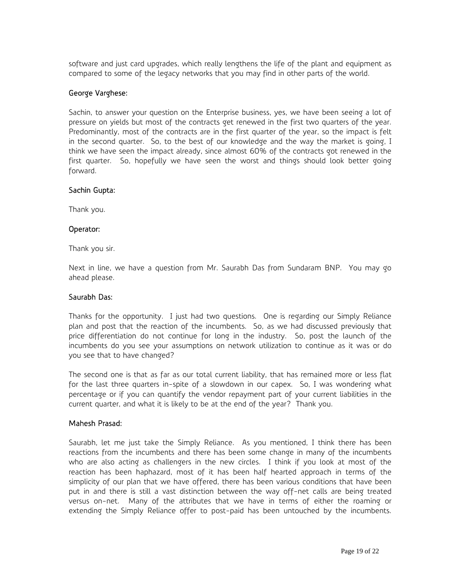software and just card upgrades, which really lengthens the life of the plant and equipment as compared to some of the legacy networks that you may find in other parts of the world.

# George Varghese:

Sachin, to answer your question on the Enterprise business, yes, we have been seeing a lot of pressure on yields but most of the contracts get renewed in the first two quarters of the year. Predominantly, most of the contracts are in the first quarter of the year, so the impact is felt in the second quarter. So, to the best of our knowledge and the way the market is going, I think we have seen the impact already, since almost 60% of the contracts got renewed in the first quarter. So, hopefully we have seen the worst and things should look better going forward.

# Sachin Gupta:

Thank you.

# Operator:

Thank you sir.

Next in line, we have a question from Mr. Saurabh Das from Sundaram BNP. You may go ahead please.

# Saurabh Das:

Thanks for the opportunity. I just had two questions. One is regarding our Simply Reliance plan and post that the reaction of the incumbents. So, as we had discussed previously that price differentiation do not continue for long in the industry. So, post the launch of the incumbents do you see your assumptions on network utilization to continue as it was or do you see that to have changed?

The second one is that as far as our total current liability, that has remained more or less flat for the last three quarters in-spite of a slowdown in our capex. So, I was wondering what percentage or if you can quantify the vendor repayment part of your current liabilities in the current quarter, and what it is likely to be at the end of the year? Thank you.

# Mahesh Prasad:

Saurabh, let me just take the Simply Reliance. As you mentioned, I think there has been reactions from the incumbents and there has been some change in many of the incumbents who are also acting as challengers in the new circles. I think if you look at most of the reaction has been haphazard, most of it has been half hearted approach in terms of the simplicity of our plan that we have offered, there has been various conditions that have been put in and there is still a vast distinction between the way off-net calls are being treated versus on-net. Many of the attributes that we have in terms of either the roaming or extending the Simply Reliance offer to post-paid has been untouched by the incumbents.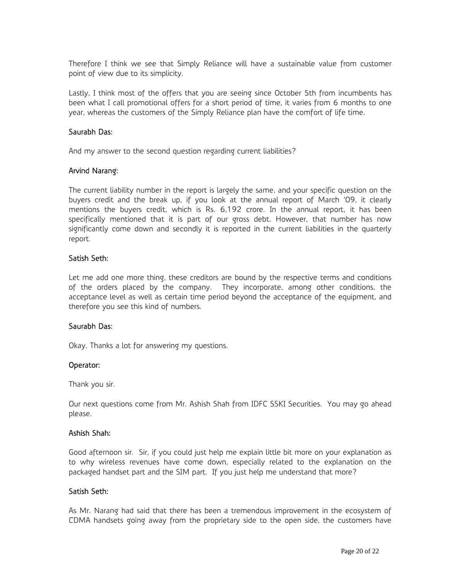Therefore I think we see that Simply Reliance will have a sustainable value from customer point of view due to its simplicity.

Lastly, I think most of the offers that you are seeing since October 5th from incumbents has been what I call promotional offers for a short period of time, it varies from 6 months to one year, whereas the customers of the Simply Reliance plan have the comfort of life time.

# Saurabh Das:

And my answer to the second question regarding current liabilities?

#### Arvind Narang:

The current liability number in the report is largely the same, and your specific question on the buyers credit and the break up, if you look at the annual report of March '09, it clearly mentions the buyers credit, which is Rs. 6,192 crore. In the annual report, it has been specifically mentioned that it is part of our gross debt. However, that number has now significantly come down and secondly it is reported in the current liabilities in the quarterly report.

#### Satish Seth:

Let me add one more thing, these creditors are bound by the respective terms and conditions of the orders placed by the company. They incorporate, among other conditions, the acceptance level as well as certain time period beyond the acceptance of the equipment, and therefore you see this kind of numbers.

# Saurabh Das:

Okay. Thanks a lot for answering my questions.

#### Operator:

Thank you sir.

Our next questions come from Mr. Ashish Shah from IDFC SSKI Securities. You may go ahead please.

#### Ashish Shah:

Good afternoon sir. Sir, if you could just help me explain little bit more on your explanation as to why wireless revenues have come down, especially related to the explanation on the packaged handset part and the SIM part. If you just help me understand that more?

# Satish Seth:

As Mr. Narang had said that there has been a tremendous improvement in the ecosystem of CDMA handsets going away from the proprietary side to the open side, the customers have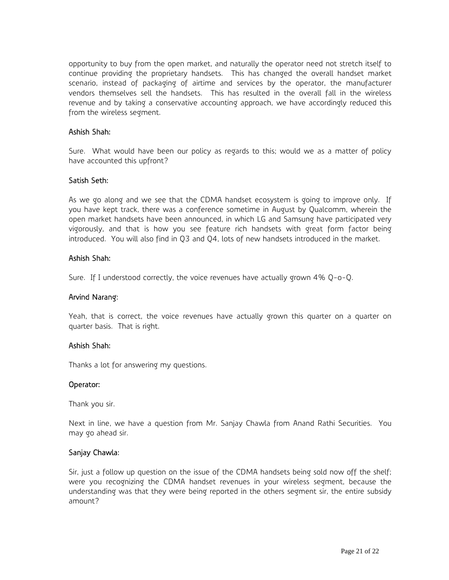opportunity to buy from the open market, and naturally the operator need not stretch itself to continue providing the proprietary handsets. This has changed the overall handset market scenario, instead of packaging of airtime and services by the operator, the manufacturer vendors themselves sell the handsets. This has resulted in the overall fall in the wireless revenue and by taking a conservative accounting approach, we have accordingly reduced this from the wireless segment.

# Ashish Shah:

Sure. What would have been our policy as regards to this; would we as a matter of policy have accounted this upfront?

# Satish Seth:

As we go along and we see that the CDMA handset ecosystem is going to improve only. If you have kept track, there was a conference sometime in August by Qualcomm, wherein the open market handsets have been announced, in which LG and Samsung have participated very vigorously, and that is how you see feature rich handsets with great form factor being introduced. You will also find in Q3 and Q4, lots of new handsets introduced in the market.

# Ashish Shah:

Sure. If I understood correctly, the voice revenues have actually grown 4% Q-o-Q.

# Arvind Narang:

Yeah, that is correct, the voice revenues have actually grown this quarter on a quarter on quarter basis. That is right.

# Ashish Shah:

Thanks a lot for answering my questions.

# Operator:

Thank you sir.

Next in line, we have a question from Mr. Sanjay Chawla from Anand Rathi Securities. You may go ahead sir.

# Sanjay Chawla:

Sir, just a follow up question on the issue of the CDMA handsets being sold now off the shelf; were you recognizing the CDMA handset revenues in your wireless segment, because the understanding was that they were being reported in the others segment sir, the entire subsidy amount?